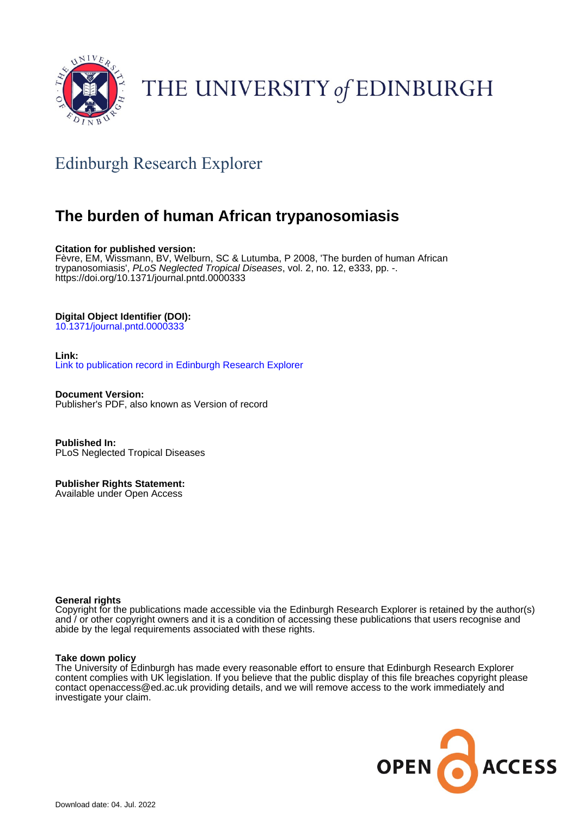

# THE UNIVERSITY of EDINBURGH

# Edinburgh Research Explorer

# **The burden of human African trypanosomiasis**

# **Citation for published version:**

Fèvre, EM, Wissmann, BV, Welburn, SC & Lutumba, P 2008, 'The burden of human African trypanosomiasis', *PLoS Neglected Tropical Diseases*, vol. 2, no. 12, e333, pp. -. <https://doi.org/10.1371/journal.pntd.0000333>

# **Digital Object Identifier (DOI):**

[10.1371/journal.pntd.0000333](https://doi.org/10.1371/journal.pntd.0000333)

# **Link:**

[Link to publication record in Edinburgh Research Explorer](https://www.research.ed.ac.uk/en/publications/866763aa-99b9-4f4d-852e-7197ce23d40f)

**Document Version:** Publisher's PDF, also known as Version of record

**Published In:** PLoS Neglected Tropical Diseases

**Publisher Rights Statement:** Available under Open Access

# **General rights**

Copyright for the publications made accessible via the Edinburgh Research Explorer is retained by the author(s) and / or other copyright owners and it is a condition of accessing these publications that users recognise and abide by the legal requirements associated with these rights.

# **Take down policy**

The University of Edinburgh has made every reasonable effort to ensure that Edinburgh Research Explorer content complies with UK legislation. If you believe that the public display of this file breaches copyright please contact openaccess@ed.ac.uk providing details, and we will remove access to the work immediately and investigate your claim.

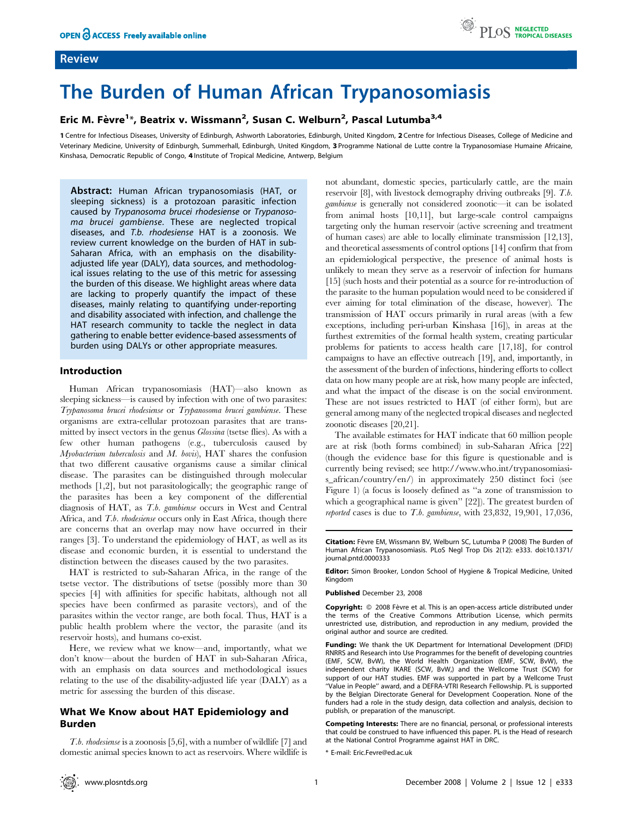# Review



# The Burden of Human African Trypanosomiasis

# Eric M. Fèvre<sup>1</sup>\*, Beatrix v. Wissmann<sup>2</sup>, Susan C. Welburn<sup>2</sup>, Pascal Lutumba<sup>3,4</sup>

1 Centre for Infectious Diseases, University of Edinburgh, Ashworth Laboratories, Edinburgh, United Kingdom, 2 Centre for Infectious Diseases, College of Medicine and Veterinary Medicine, University of Edinburgh, Summerhall, Edinburgh, United Kingdom, 3 Programme National de Lutte contre la Trypanosomiase Humaine Africaine, Kinshasa, Democratic Republic of Congo, 4 Institute of Tropical Medicine, Antwerp, Belgium

Abstract: Human African trypanosomiasis (HAT, or sleeping sickness) is a protozoan parasitic infection caused by Trypanosoma brucei rhodesiense or Trypanosoma brucei gambiense. These are neglected tropical diseases, and T.b. rhodesiense HAT is a zoonosis. We review current knowledge on the burden of HAT in sub-Saharan Africa, with an emphasis on the disabilityadjusted life year (DALY), data sources, and methodological issues relating to the use of this metric for assessing the burden of this disease. We highlight areas where data are lacking to properly quantify the impact of these diseases, mainly relating to quantifying under-reporting and disability associated with infection, and challenge the HAT research community to tackle the neglect in data gathering to enable better evidence-based assessments of burden using DALYs or other appropriate measures.

#### Introduction

Human African trypanosomiasis (HAT)—also known as sleeping sickness—is caused by infection with one of two parasites: Trypanosoma brucei rhodesiense or Trypanosoma brucei gambiense. These organisms are extra-cellular protozoan parasites that are transmitted by insect vectors in the genus Glossina (tsetse flies). As with a few other human pathogens (e.g., tuberculosis caused by *Myobacterium tuberculosis* and  $M$ . *bovis*),  $HAT$  shares the confusion that two different causative organisms cause a similar clinical disease. The parasites can be distinguished through molecular methods [1,2], but not parasitologically; the geographic range of the parasites has been a key component of the differential diagnosis of HAT, as T.b. gambiense occurs in West and Central Africa, and T.b. rhodesiense occurs only in East Africa, though there are concerns that an overlap may now have occurred in their ranges [3]. To understand the epidemiology of HAT, as well as its disease and economic burden, it is essential to understand the distinction between the diseases caused by the two parasites.

HAT is restricted to sub-Saharan Africa, in the range of the tsetse vector. The distributions of tsetse (possibly more than 30 species [4] with affinities for specific habitats, although not all species have been confirmed as parasite vectors), and of the parasites within the vector range, are both focal. Thus, HAT is a public health problem where the vector, the parasite (and its reservoir hosts), and humans co-exist.

Here, we review what we know—and, importantly, what we don't know—about the burden of HAT in sub-Saharan Africa, with an emphasis on data sources and methodological issues relating to the use of the disability-adjusted life year (DALY) as a metric for assessing the burden of this disease.

### What We Know about HAT Epidemiology and Burden

T.b. rhodesiense is a zoonosis [5,6], with a number of wildlife [7] and domestic animal species known to act as reservoirs. Where wildlife is

not abundant, domestic species, particularly cattle, are the main reservoir [8], with livestock demography driving outbreaks [9]. T.b. gambiense is generally not considered zoonotic—it can be isolated from animal hosts [10,11], but large-scale control campaigns targeting only the human reservoir (active screening and treatment of human cases) are able to locally eliminate transmission [12,13], and theoretical assessments of control options [14] confirm that from an epidemiological perspective, the presence of animal hosts is unlikely to mean they serve as a reservoir of infection for humans [15] (such hosts and their potential as a source for re-introduction of the parasite to the human population would need to be considered if ever aiming for total elimination of the disease, however). The transmission of HAT occurs primarily in rural areas (with a few exceptions, including peri-urban Kinshasa [16]), in areas at the furthest extremities of the formal health system, creating particular problems for patients to access health care [17,18], for control campaigns to have an effective outreach [19], and, importantly, in the assessment of the burden of infections, hindering efforts to collect data on how many people are at risk, how many people are infected, and what the impact of the disease is on the social environment. These are not issues restricted to HAT (of either form), but are general among many of the neglected tropical diseases and neglected zoonotic diseases [20,21].

The available estimates for HAT indicate that 60 million people are at risk (both forms combined) in sub-Saharan Africa [22] (though the evidence base for this figure is questionable and is currently being revised; see http://www.who.int/trypanosomiasis\_african/country/en/) in approximately 250 distinct foci (see Figure 1) (a focus is loosely defined as ''a zone of transmission to which a geographical name is given'' [22]). The greatest burden of reported cases is due to  $T.b.$  gambiense, with  $23,832, 19,901, 17,036,$ 

Citation: Fèvre EM, Wissmann BV, Welburn SC, Lutumba P (2008) The Burden of Human African Trypanosomiasis. PLoS Negl Trop Dis 2(12): e333. doi:10.1371/ journal.pntd.0000333

Editor: Simon Brooker, London School of Hygiene & Tropical Medicine, United Kingdom

Published December 23, 2008

Copyright: © 2008 Fèvre et al. This is an open-access article distributed under the terms of the Creative Commons Attribution License, which permits unrestricted use, distribution, and reproduction in any medium, provided the original author and source are credited.

Funding: We thank the UK Department for International Development (DFID) RNRRS and Research into Use Programmes for the benefit of developing countries (EMF, SCW, BvW), the World Health Organization (EMF, SCW, BvW), the independent charity IKARE (SCW, BvW,) and the Wellcome Trust (SCW) for support of our HAT studies. EMF was supported in part by a Wellcome Trust ''Value in People'' award, and a DEFRA-VTRI Research Fellowship. PL is supported by the Belgian Directorate General for Development Cooperation. None of the funders had a role in the study design, data collection and analysis, decision to publish, or preparation of the manuscript.

Competing Interests: There are no financial, personal, or professional interests that could be construed to have influenced this paper. PL is the Head of research at the National Control Programme against HAT in DRC.

\* E-mail: Eric.Fevre@ed.ac.uk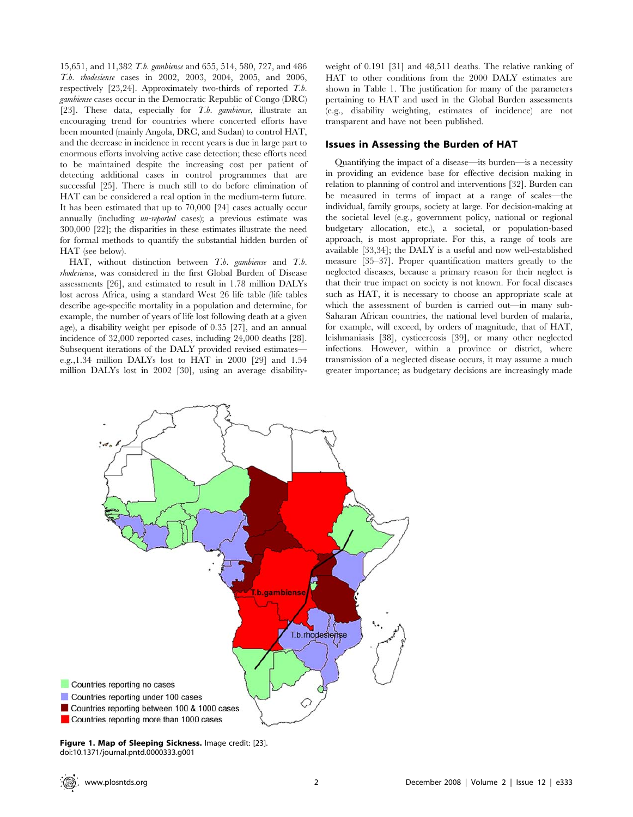15,651, and 11,382 T.b. gambiense and 655, 514, 580, 727, and 486 T.b. rhodesiense cases in 2002, 2003, 2004, 2005, and 2006, respectively [23,24]. Approximately two-thirds of reported  $T.b$ . gambiense cases occur in the Democratic Republic of Congo (DRC) [23]. These data, especially for  $T.b.$  gambiense, illustrate an encouraging trend for countries where concerted efforts have been mounted (mainly Angola, DRC, and Sudan) to control HAT, and the decrease in incidence in recent years is due in large part to enormous efforts involving active case detection; these efforts need to be maintained despite the increasing cost per patient of detecting additional cases in control programmes that are successful [25]. There is much still to do before elimination of HAT can be considered a real option in the medium-term future. It has been estimated that up to 70,000 [24] cases actually occur annually (including un-reported cases); a previous estimate was 300,000 [22]; the disparities in these estimates illustrate the need for formal methods to quantify the substantial hidden burden of HAT (see below).

HAT, without distinction between T.b. gambiense and T.b. rhodesiense, was considered in the first Global Burden of Disease assessments [26], and estimated to result in 1.78 million DALYs lost across Africa, using a standard West 26 life table (life tables describe age-specific mortality in a population and determine, for example, the number of years of life lost following death at a given age), a disability weight per episode of 0.35 [27], and an annual incidence of 32,000 reported cases, including 24,000 deaths [28]. Subsequent iterations of the DALY provided revised estimates e.g.,1.34 million DALYs lost to HAT in 2000 [29] and 1.54 million DALYs lost in 2002 [30], using an average disabilityweight of 0.191 [31] and 48,511 deaths. The relative ranking of HAT to other conditions from the 2000 DALY estimates are shown in Table 1. The justification for many of the parameters pertaining to HAT and used in the Global Burden assessments (e.g., disability weighting, estimates of incidence) are not transparent and have not been published.

### Issues in Assessing the Burden of HAT

Quantifying the impact of a disease—its burden—is a necessity in providing an evidence base for effective decision making in relation to planning of control and interventions [32]. Burden can be measured in terms of impact at a range of scales—the individual, family groups, society at large. For decision-making at the societal level (e.g., government policy, national or regional budgetary allocation, etc.), a societal, or population-based approach, is most appropriate. For this, a range of tools are available [33,34]; the DALY is a useful and now well-established measure [35–37]. Proper quantification matters greatly to the neglected diseases, because a primary reason for their neglect is that their true impact on society is not known. For focal diseases such as HAT, it is necessary to choose an appropriate scale at which the assessment of burden is carried out—in many sub-Saharan African countries, the national level burden of malaria, for example, will exceed, by orders of magnitude, that of HAT, leishmaniasis [38], cysticercosis [39], or many other neglected infections. However, within a province or district, where transmission of a neglected disease occurs, it may assume a much greater importance; as budgetary decisions are increasingly made



Figure 1. Map of Sleeping Sickness. Image credit: [23]. doi:10.1371/journal.pntd.0000333.g001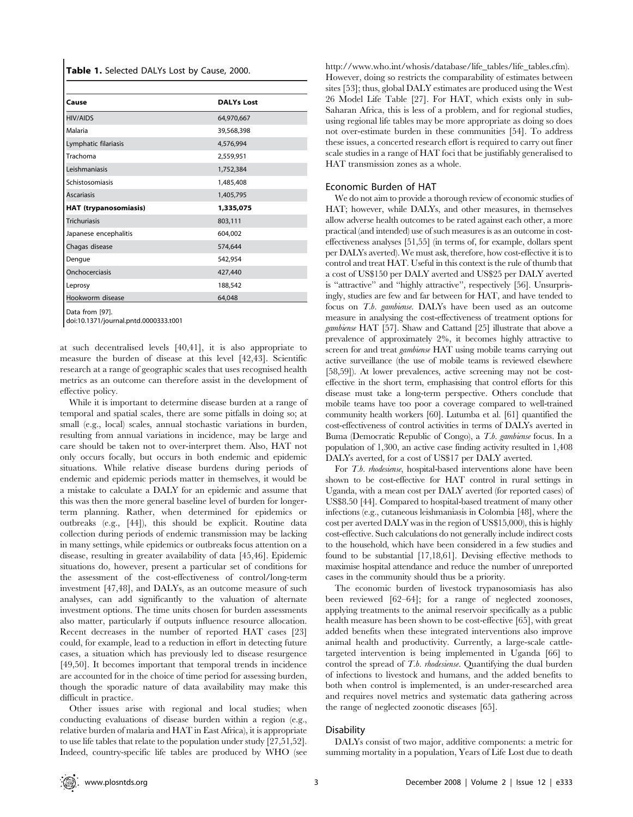Table 1. Selected DALYs Lost by Cause, 2000.

| Cause                        | <b>DALYs Lost</b> |
|------------------------------|-------------------|
| <b>HIV/AIDS</b>              | 64,970,667        |
| Malaria                      | 39,568,398        |
| Lymphatic filariasis         | 4,576,994         |
| Trachoma                     | 2,559,951         |
| Leishmaniasis                | 1,752,384         |
| Schistosomiasis              | 1,485,408         |
| <b>Ascariasis</b>            | 1,405,795         |
| <b>HAT (trypanosomiasis)</b> | 1,335,075         |
| <b>Trichuriasis</b>          | 803,111           |
| Japanese encephalitis        | 604,002           |
| Chagas disease               | 574,644           |
| Dengue                       | 542,954           |
| Onchocerciasis               | 427,440           |
| Leprosy                      | 188,542           |
| Hookworm disease             | 64,048            |

Data from [97].

doi:10.1371/journal.pntd.0000333.t001

at such decentralised levels [40,41], it is also appropriate to measure the burden of disease at this level [42,43]. Scientific research at a range of geographic scales that uses recognised health metrics as an outcome can therefore assist in the development of effective policy.

While it is important to determine disease burden at a range of temporal and spatial scales, there are some pitfalls in doing so; at small (e.g., local) scales, annual stochastic variations in burden, resulting from annual variations in incidence, may be large and care should be taken not to over-interpret them. Also, HAT not only occurs focally, but occurs in both endemic and epidemic situations. While relative disease burdens during periods of endemic and epidemic periods matter in themselves, it would be a mistake to calculate a DALY for an epidemic and assume that this was then the more general baseline level of burden for longerterm planning. Rather, when determined for epidemics or outbreaks (e.g., [44]), this should be explicit. Routine data collection during periods of endemic transmission may be lacking in many settings, while epidemics or outbreaks focus attention on a disease, resulting in greater availability of data [45,46]. Epidemic situations do, however, present a particular set of conditions for the assessment of the cost-effectiveness of control/long-term investment [47,48], and DALYs, as an outcome measure of such analyses, can add significantly to the valuation of alternate investment options. The time units chosen for burden assessments also matter, particularly if outputs influence resource allocation. Recent decreases in the number of reported HAT cases [23] could, for example, lead to a reduction in effort in detecting future cases, a situation which has previously led to disease resurgence [49,50]. It becomes important that temporal trends in incidence are accounted for in the choice of time period for assessing burden, though the sporadic nature of data availability may make this difficult in practice.

Other issues arise with regional and local studies; when conducting evaluations of disease burden within a region (e.g., relative burden of malaria and HAT in East Africa), it is appropriate to use life tables that relate to the population under study [27,51,52]. Indeed, country-specific life tables are produced by WHO (see

http://www.who.int/whosis/database/life\_tables/life\_tables.cfm). However, doing so restricts the comparability of estimates between sites [53]; thus, global DALY estimates are produced using the West 26 Model Life Table [27]. For HAT, which exists only in sub-Saharan Africa, this is less of a problem, and for regional studies, using regional life tables may be more appropriate as doing so does not over-estimate burden in these communities [54]. To address these issues, a concerted research effort is required to carry out finer scale studies in a range of HAT foci that be justifiably generalised to HAT transmission zones as a whole.

#### Economic Burden of HAT

We do not aim to provide a thorough review of economic studies of HAT; however, while DALYs, and other measures, in themselves allow adverse health outcomes to be rated against each other, a more practical (and intended) use of such measures is as an outcome in costeffectiveness analyses [51,55] (in terms of, for example, dollars spent per DALYs averted). We must ask, therefore, how cost-effective it is to control and treat HAT. Useful in this context is the rule of thumb that a cost of US\$150 per DALY averted and US\$25 per DALY averted is ''attractive'' and ''highly attractive'', respectively [56]. Unsurprisingly, studies are few and far between for HAT, and have tended to focus on T.b. gambiense. DALYs have been used as an outcome measure in analysing the cost-effectiveness of treatment options for gambiense HAT [57]. Shaw and Cattand [25] illustrate that above a prevalence of approximately 2%, it becomes highly attractive to screen for and treat *gambiense* HAT using mobile teams carrying out active surveillance (the use of mobile teams is reviewed elsewhere [58,59]). At lower prevalences, active screening may not be costeffective in the short term, emphasising that control efforts for this disease must take a long-term perspective. Others conclude that mobile teams have too poor a coverage compared to well-trained community health workers [60]. Lutumba et al. [61] quantified the cost-effectiveness of control activities in terms of DALYs averted in Buma (Democratic Republic of Congo), a T.b. gambiense focus. In a population of 1,300, an active case finding activity resulted in 1,408 DALYs averted, for a cost of US\$17 per DALY averted.

For *T.b. rhodesiense*, hospital-based interventions alone have been shown to be cost-effective for HAT control in rural settings in Uganda, with a mean cost per DALY averted (for reported cases) of US\$8.50 [44]. Compared to hospital-based treatment of many other infections (e.g., cutaneous leishmaniasis in Colombia [48], where the cost per averted DALY was in the region of US\$15,000), this is highly cost-effective. Such calculations do not generally include indirect costs to the household, which have been considered in a few studies and found to be substantial [17,18,61]. Devising effective methods to maximise hospital attendance and reduce the number of unreported cases in the community should thus be a priority.

The economic burden of livestock trypanosomiasis has also been reviewed [62–64]; for a range of neglected zoonoses, applying treatments to the animal reservoir specifically as a public health measure has been shown to be cost-effective [65], with great added benefits when these integrated interventions also improve animal health and productivity. Currently, a large-scale cattletargeted intervention is being implemented in Uganda [66] to control the spread of T.b. rhodesiense. Quantifying the dual burden of infections to livestock and humans, and the added benefits to both when control is implemented, is an under-researched area and requires novel metrics and systematic data gathering across the range of neglected zoonotic diseases [65].

#### **Disability**

DALYs consist of two major, additive components: a metric for summing mortality in a population, Years of Life Lost due to death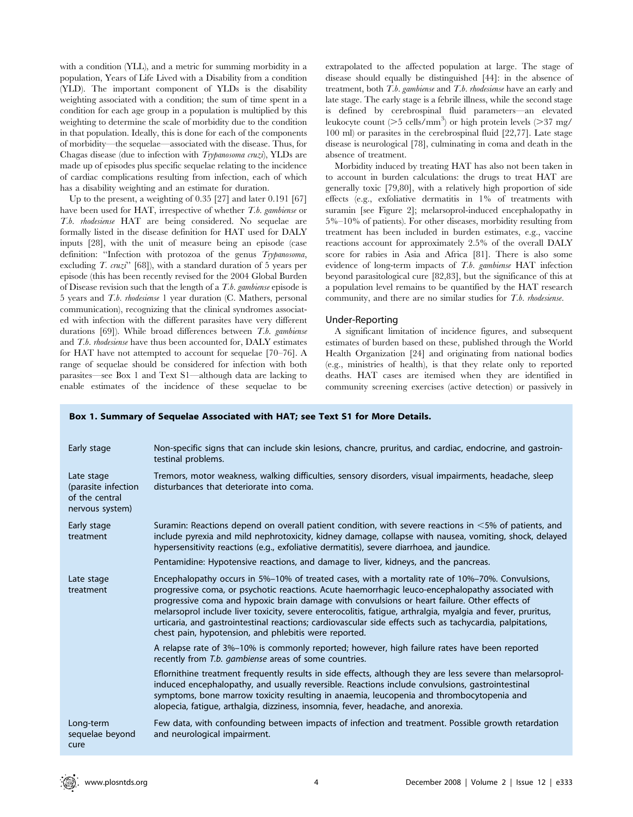with a condition (YLL), and a metric for summing morbidity in a population, Years of Life Lived with a Disability from a condition (YLD). The important component of YLDs is the disability weighting associated with a condition; the sum of time spent in a condition for each age group in a population is multiplied by this weighting to determine the scale of morbidity due to the condition in that population. Ideally, this is done for each of the components of morbidity—the sequelae—associated with the disease. Thus, for Chagas disease (due to infection with Trypanosoma cruzi), YLDs are made up of episodes plus specific sequelae relating to the incidence of cardiac complications resulting from infection, each of which has a disability weighting and an estimate for duration.

Up to the present, a weighting of 0.35 [27] and later 0.191 [67] have been used for HAT, irrespective of whether T.b. gambiense or T.b. rhodesiense HAT are being considered. No sequelae are formally listed in the disease definition for HAT used for DALY inputs [28], with the unit of measure being an episode (case definition: "Infection with protozoa of the genus Trypanosoma, excluding T.  $cnuzi'$  [68]), with a standard duration of 5 years per episode (this has been recently revised for the 2004 Global Burden of Disease revision such that the length of a T.b. gambiense episode is 5 years and T.b. rhodesiense 1 year duration (C. Mathers, personal communication), recognizing that the clinical syndromes associated with infection with the different parasites have very different durations [69]). While broad differences between T.b. gambiense and T.b. rhodesiense have thus been accounted for, DALY estimates for HAT have not attempted to account for sequelae [70–76]. A range of sequelae should be considered for infection with both parasites—see Box 1 and Text S1—although data are lacking to enable estimates of the incidence of these sequelae to be

extrapolated to the affected population at large. The stage of disease should equally be distinguished [44]: in the absence of treatment, both T.b. gambiense and T.b. rhodesiense have an early and late stage. The early stage is a febrile illness, while the second stage is defined by cerebrospinal fluid parameters—an elevated leukocyte count ( $>5$  cells/mm<sup>3</sup>) or high protein levels ( $>37$  mg/ 100 ml) or parasites in the cerebrospinal fluid [22,77]. Late stage disease is neurological [78], culminating in coma and death in the absence of treatment.

Morbidity induced by treating HAT has also not been taken in to account in burden calculations: the drugs to treat HAT are generally toxic [79,80], with a relatively high proportion of side effects (e.g., exfoliative dermatitis in 1% of treatments with suramin [see Figure 2]; melarsoprol-induced encephalopathy in 5%–10% of patients). For other diseases, morbidity resulting from treatment has been included in burden estimates, e.g., vaccine reactions account for approximately 2.5% of the overall DALY score for rabies in Asia and Africa [81]. There is also some evidence of long-term impacts of T.b. gambiense HAT infection beyond parasitological cure [82,83], but the significance of this at a population level remains to be quantified by the HAT research community, and there are no similar studies for T.b. rhodesiense.

#### Under-Reporting

A significant limitation of incidence figures, and subsequent estimates of burden based on these, published through the World Health Organization [24] and originating from national bodies (e.g., ministries of health), is that they relate only to reported deaths. HAT cases are itemised when they are identified in community screening exercises (active detection) or passively in

| Early stage                                                            | Non-specific signs that can include skin lesions, chancre, pruritus, and cardiac, endocrine, and gastroin-<br>testinal problems.                                                                                                                                                                                                                                                                                                                                                                                                                                                            |
|------------------------------------------------------------------------|---------------------------------------------------------------------------------------------------------------------------------------------------------------------------------------------------------------------------------------------------------------------------------------------------------------------------------------------------------------------------------------------------------------------------------------------------------------------------------------------------------------------------------------------------------------------------------------------|
| Late stage<br>(parasite infection<br>of the central<br>nervous system) | Tremors, motor weakness, walking difficulties, sensory disorders, visual impairments, headache, sleep<br>disturbances that deteriorate into coma.                                                                                                                                                                                                                                                                                                                                                                                                                                           |
| Early stage<br>treatment                                               | Suramin: Reactions depend on overall patient condition, with severe reactions in $\leq 5\%$ of patients, and<br>include pyrexia and mild nephrotoxicity, kidney damage, collapse with nausea, vomiting, shock, delayed<br>hypersensitivity reactions (e.g., exfoliative dermatitis), severe diarrhoea, and jaundice.                                                                                                                                                                                                                                                                        |
|                                                                        | Pentamidine: Hypotensive reactions, and damage to liver, kidneys, and the pancreas.                                                                                                                                                                                                                                                                                                                                                                                                                                                                                                         |
| Late stage<br>treatment                                                | Encephalopathy occurs in 5%–10% of treated cases, with a mortality rate of 10%–70%. Convulsions,<br>progressive coma, or psychotic reactions. Acute haemorrhagic leuco-encephalopathy associated with<br>progressive coma and hypoxic brain damage with convulsions or heart failure. Other effects of<br>melarsoprol include liver toxicity, severe enterocolitis, fatigue, arthralgia, myalgia and fever, pruritus,<br>urticaria, and gastrointestinal reactions; cardiovascular side effects such as tachycardia, palpitations,<br>chest pain, hypotension, and phlebitis were reported. |
|                                                                        | A relapse rate of 3%–10% is commonly reported; however, high failure rates have been reported<br>recently from T.b. gambiense areas of some countries.                                                                                                                                                                                                                                                                                                                                                                                                                                      |
|                                                                        | Eflornithine treatment frequently results in side effects, although they are less severe than melarsoprol-<br>induced encephalopathy, and usually reversible. Reactions include convulsions, gastrointestinal<br>symptoms, bone marrow toxicity resulting in anaemia, leucopenia and thrombocytopenia and<br>alopecia, fatigue, arthalgia, dizziness, insomnia, fever, headache, and anorexia.                                                                                                                                                                                              |
| Long-term<br>sequelae beyond<br>cure                                   | Few data, with confounding between impacts of infection and treatment. Possible growth retardation<br>and neurological impairment.                                                                                                                                                                                                                                                                                                                                                                                                                                                          |

#### Box 1. Summary of Sequelae Associated with HAT; see Text S1 for More Details.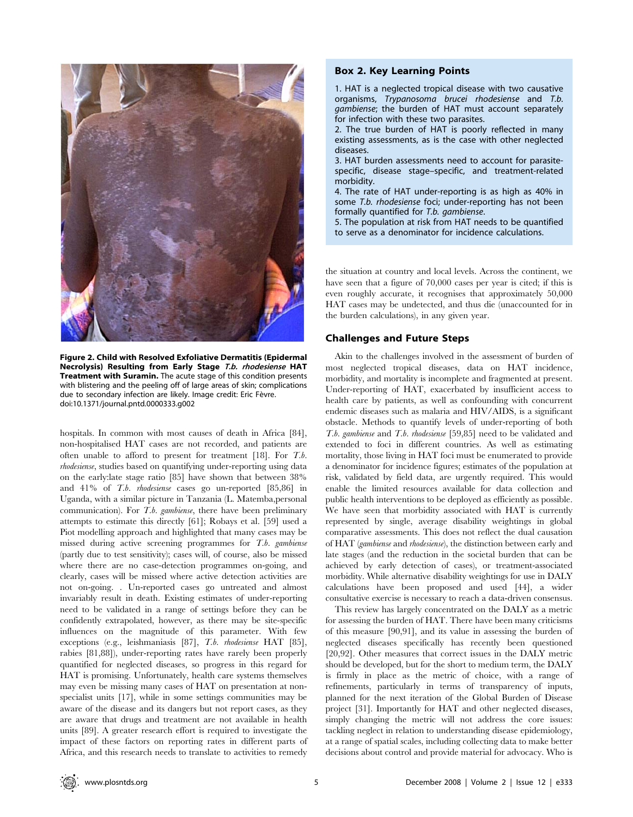

Figure 2. Child with Resolved Exfoliative Dermatitis (Epidermal Necrolysis) Resulting from Early Stage T.b. rhodesiense HAT **Treatment with Suramin.** The acute stage of this condition presents with blistering and the peeling off of large areas of skin; complications due to secondary infection are likely. Image credit: Eric Fèvre. doi:10.1371/journal.pntd.0000333.g002

hospitals. In common with most causes of death in Africa [84], non-hospitalised HAT cases are not recorded, and patients are often unable to afford to present for treatment [18]. For T.b. rhodesiense, studies based on quantifying under-reporting using data on the early:late stage ratio [85] have shown that between 38% and 41% of T.b. rhodesiense cases go un-reported [85,86] in Uganda, with a similar picture in Tanzania (L. Matemba,personal communication). For T.b. gambiense, there have been preliminary attempts to estimate this directly [61]; Robays et al. [59] used a Piot modelling approach and highlighted that many cases may be missed during active screening programmes for T.b. gambiense (partly due to test sensitivity); cases will, of course, also be missed where there are no case-detection programmes on-going, and clearly, cases will be missed where active detection activities are not on-going. . Un-reported cases go untreated and almost invariably result in death. Existing estimates of under-reporting need to be validated in a range of settings before they can be confidently extrapolated, however, as there may be site-specific influences on the magnitude of this parameter. With few exceptions (e.g., leishmaniasis [87], T.b. rhodesiense HAT [85], rabies [81,88]), under-reporting rates have rarely been properly quantified for neglected diseases, so progress in this regard for HAT is promising. Unfortunately, health care systems themselves may even be missing many cases of HAT on presentation at nonspecialist units [17], while in some settings communities may be aware of the disease and its dangers but not report cases, as they are aware that drugs and treatment are not available in health units [89]. A greater research effort is required to investigate the impact of these factors on reporting rates in different parts of Africa, and this research needs to translate to activities to remedy

### Box 2. Key Learning Points

1. HAT is a neglected tropical disease with two causative organisms, Trypanosoma brucei rhodesiense and T.b. gambiense; the burden of HAT must account separately for infection with these two parasites.

2. The true burden of HAT is poorly reflected in many existing assessments, as is the case with other neglected diseases.

3. HAT burden assessments need to account for parasitespecific, disease stage–specific, and treatment-related morbidity.

4. The rate of HAT under-reporting is as high as 40% in some T.b. rhodesiense foci; under-reporting has not been formally quantified for T.b. gambiense.

5. The population at risk from HAT needs to be quantified to serve as a denominator for incidence calculations.

the situation at country and local levels. Across the continent, we have seen that a figure of 70,000 cases per year is cited; if this is even roughly accurate, it recognises that approximately 50,000 HAT cases may be undetected, and thus die (unaccounted for in the burden calculations), in any given year.

### Challenges and Future Steps

Akin to the challenges involved in the assessment of burden of most neglected tropical diseases, data on HAT incidence, morbidity, and mortality is incomplete and fragmented at present. Under-reporting of HAT, exacerbated by insufficient access to health care by patients, as well as confounding with concurrent endemic diseases such as malaria and HIV/AIDS, is a significant obstacle. Methods to quantify levels of under-reporting of both T.b. gambiense and T.b. rhodesiense [59,85] need to be validated and extended to foci in different countries. As well as estimating mortality, those living in HAT foci must be enumerated to provide a denominator for incidence figures; estimates of the population at risk, validated by field data, are urgently required. This would enable the limited resources available for data collection and public health interventions to be deployed as efficiently as possible. We have seen that morbidity associated with HAT is currently represented by single, average disability weightings in global comparative assessments. This does not reflect the dual causation of HAT (gambiense and rhodesiense), the distinction between early and late stages (and the reduction in the societal burden that can be achieved by early detection of cases), or treatment-associated morbidity. While alternative disability weightings for use in DALY calculations have been proposed and used [44], a wider consultative exercise is necessary to reach a data-driven consensus.

This review has largely concentrated on the DALY as a metric for assessing the burden of HAT. There have been many criticisms of this measure [90,91], and its value in assessing the burden of neglected diseases specifically has recently been questioned [20,92]. Other measures that correct issues in the DALY metric should be developed, but for the short to medium term, the DALY is firmly in place as the metric of choice, with a range of refinements, particularly in terms of transparency of inputs, planned for the next iteration of the Global Burden of Disease project [31]. Importantly for HAT and other neglected diseases, simply changing the metric will not address the core issues: tackling neglect in relation to understanding disease epidemiology, at a range of spatial scales, including collecting data to make better decisions about control and provide material for advocacy. Who is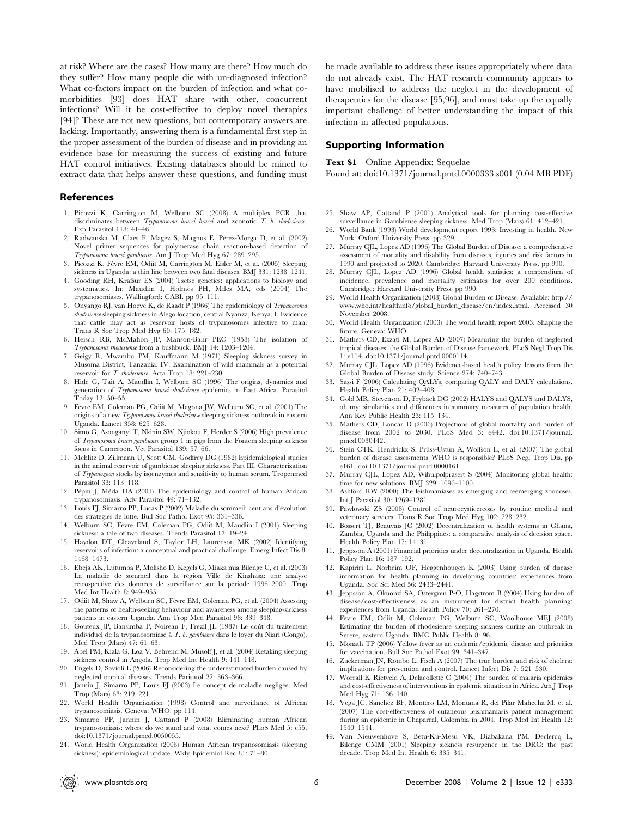at risk? Where are the cases? How many are there? How much do they suffer? How many people die with un-diagnosed infection? What co-factors impact on the burden of infection and what comorbidities [93] does HAT share with other, concurrent infections? Will it be cost-effective to deploy novel therapies [94]? These are not new questions, but contemporary answers are lacking. Importantly, answering them is a fundamental first step in the proper assessment of the burden of disease and in providing an evidence base for measuring the success of existing and future HAT control initiatives. Existing databases should be mined to extract data that helps answer these questions, and funding must

#### References

- 1. Picozzi K, Carrington M, Welburn SC (2008) A multiplex PCR that discriminates between Trypanosoma brucei brucei and zoonotic T. b. rhodesiense. Exp Parasitol 118: 41–46.
- 2. Radwanska M, Claes F, Magez S, Magnus E, Perez-Morga D, et al. (2002) Novel primer sequences for polymerase chain reaction-based detection of Trypanosoma brucei gambiense. Am J Trop Med Hyg 67: 289–295.
- 3. Picozzi K, Fèvre EM, Odiit M, Carrington M, Eisler M, et al. (2005) Sleeping sickness in Uganda: a thin line between two fatal diseases. BMJ 331: 1238–1241.
- 4. Gooding RH, Krafsur ES (2004) Tsetse genetics: applications to biology and systematics. In: Maudlin I, Holmes PH, Miles MA, eds (2004) The trypanosomiases. Wallingford: CABI. pp 95–111.
- 5. Onyango RJ, van Hoeve K, de Raadt P (1966) The epidemiology of Trypanosoma rhodesiense sleeping sickness in Alego location, central Nyanza, Kenya. I. Evidence that cattle may act as reservoir hosts of trypanosomes infective to man. Trans R Soc Trop Med Hyg 60: 175–182.
- 6. Heisch RB, McMahon JP, Manson-Bahr PEC (1958) The isolation of Trypanosoma rhodesiense from a bushbuck. BMJ 14: 1203–1204.
- 7. Geigy R, Mwambu PM, Kauffmann M (1971) Sleeping sickness survey in Musoma District, Tanzania. IV. Examination of wild mammals as a potential reservoir for T. rhodesiense. Acta Trop 18: 221–230.
- 8. Hide G, Tait A, Maudlin I, Welburn SC (1996) The origins, dynamics and generation of Trypanosoma brucei rhodesiense epidemics in East Africa. Parasitol Today 12: 50–55.
- 9. Fèvre EM, Coleman PG, Odiit M, Magona JW, Welburn SC, et al. (2001) The origins of a new Trypanosoma brucei rhodesiense sleeping sickness outbreak in eastern Uganda. Lancet 358: 625–628.
- 10. Simo G, Asonganyi T, Nkinin SW, Njiokou F, Herder S (2006) High prevalence of Trypanosoma brucei gambiense group 1 in pigs from the Fontem sleeping sickness focus in Cameroon. Vet Parasitol 139: 57–66.
- 11. Mehlitz D, Zillmann U, Scott CM, Godfrey DG (1982) Epidemiological studies in the animal reservoir of gambiense sleeping sickness. Part III. Characterization of Trypanozoon stocks by isoenzymes and sensitivity to human serum. Tropenmed Parasitol 33: 113–118.
- 12. Pépin J, Méda HA (2001) The epidemiology and control of human African trypanosomiasis. Adv Parasitol 49: 71–132.
- 13. Louis FJ, Simarro PP, Lucas P (2002) Maladie du sommeil: cent ans d'évolution des strategies de lutte. Bull Soc Pathol Exot 95: 331–336.
- 14. Welburn SC, Fèvre EM, Coleman PG, Odiit M, Maudlin I (2001) Sleeping sickness: a tale of two diseases. Trends Parasitol 17: 19–24.
- 15. Haydon DT, Cleaveland S, Taylor LH, Laurenson MK (2002) Identifying reservoirs of infection: a conceptual and practical challenge. Emerg Infect Dis 8: 1468–1473.
- 16. Ebeja AK, Lutumba P, Molisho D, Kegels G, Miaka mia Bilenge C, et al. (2003) La maladie de sommeil dans la région Ville de Kinshasa: une analyse rétrospective des données de surveillance sur la période 1996–2000. Trop Med Int Health 8: 949–955.
- 17. Odiit M, Shaw A, Welburn SC, Fèvre EM, Coleman PG, et al. (2004) Assessing the patterns of health-seeking behaviour and awareness among sleeping-sickness patients in eastern Uganda. Ann Trop Med Parasitol 98: 339–348.
- 18. Gouteux JP, Bansimba P, Noireau F, Frezil JL (1987) Le coût du traitement individuel de la trypanosomiase à  $T.$  b. gambiense dans le foyer du Niari (Congo). Med Trop (Mars) 47: 61–63.
- 19. Abel PM, Kiala G, Loa V, Behrend M, Musolf J, et al. (2004) Retaking sleeping sickness control in Angola. Trop Med Int Health 9: 141–148.
- 20. Engels D, Savioli L (2006) Reconsidering the underestimated burden caused by neglected tropical diseases. Trends Parisatol 22: 363–366.
- 21. Jannin J, Simarro PP, Louis FJ (2003) Le concept de maladie negligée. Med Trop (Mars) 63: 219–221.
- 22. World Health Organization (1998) Control and surveillance of African trypanosomiasis. Geneva: WHO. pp 114.
- 23. Simarro PP, Jannin J, Cattand P (2008) Eliminating human African trypanosomiasis: where do we stand and what comes next? PLoS Med 5: e55. doi:10.1371/journal.pmed.0050055.
- 24. World Health Organization (2006) Human African trypanosomiasis (sleeping sickness): epidemiological update. Wkly Epidemiol Rec 81: 71–80.

be made available to address these issues appropriately where data do not already exist. The HAT research community appears to have mobilised to address the neglect in the development of therapeutics for the disease [95,96], and must take up the equally important challenge of better understanding the impact of this infection in affected populations.

#### Supporting Information

Text S1 Online Appendix: Sequelae

Found at: doi:10.1371/journal.pntd.0000333.s001 (0.04 MB PDF)

- 25. Shaw AP, Cattand P (2001) Analytical tools for planning cost-effective surveillance in Gambiense sleeping sickness. Med Trop (Mars) 61: 412–421.
- 26. World Bank (1993) World development report 1993: Investing in health. New York: Oxford University Press. pp 329.
- 27. Murray CJL, Lopez AD (1996) The Global Burden of Disease: a comprehensive assessment of mortality and disability from diseases, injuries and risk factors in 1990 and projected to 2020. Cambridge: Harvard University Press. pp 990.
- 28. Murray CJL, Lopez AD (1996) Global health statistics: a compendium of incidence, prevalence and mortality estimates for over 200 conditions. Cambridge: Harvard University Press. pp 990.
- 29. World Health Organization (2008) Global Burden of Disease. Available: http:// www.who.int/healthinfo/global\_burden\_disease/en/index.html. Accessed 30 November 2008.
- 30. World Health Organization (2003) The world health report 2003. Shaping the future. Geneva: WHO.
- 31. Mathers CD, Ezzati M, Lopez AD (2007) Measuring the burden of neglected tropical diseases: the Global Burden of Disease framework. PLoS Negl Trop Dis 1: e114. doi:10.1371/journal.pntd.0000114.
- 32. Murray CJL, Lopez AD (1996) Evidence-based health policy–lessons from the Global Burden of Disease study. Science 274: 740–743.
- 33. Sassi F (2006) Calculating QALYs, comparing QALY and DALY calculations. Health Policy Plan 21: 402–408.
- 34. Gold MR, Stevenson D, Fryback DG (2002) HALYS and QALYS and DALYS, oh my: similarities and differences in summary measures of population health. Ann Rev Public Health 23: 115–134.
- Mathers CD, Loncar D (2006) Projections of global mortality and burden of disease from 2002 to 2030. PLoS Med 3: e442. doi:10.1371/journal. pmed.0030442.
- Stein CTK, Hendrickx S, Prüss-Ustün A, Wolfson L, et al. (2007) The global burden of disease assessments–WHO is responsible? PLoS Negl Trop Dis. pp e161. doi:10.1371/journal.pntd.0000161.
- 37. Murray CJL, Lopez AD, Wibulpolprasert S (2004) Monitoring global health: time for new solutions. BMJ 329: 1096–1100.
- 38. Ashford RW (2000) The leishmaniases as emerging and reemerging zoonoses. Int J Parasitol 30: 1269–1281.
- 39. Pawlowski ZS (2008) Control of neurocysticercosis by routine medical and veterinary services. Trans R Soc Trop Med Hyg 102: 228–232.
- 40. Bossert TJ, Beauvais JC (2002) Decentralization of health systems in Ghana, Zambia, Uganda and the Philippines: a comparative analysis of decision space. Health Policy Plan 17: 14–31.
- 41. Jeppsson A (2001) Financial priorities under decentralization in Uganda. Health Policy Plan 16: 187–192.
- 42. Kapiriri L, Norheim OF, Heggenhougen K (2003) Using burden of disease information for health planning in developing countries: experiences from Uganda. Soc Sci Med 56: 2433–2441.
- 43. Jeppsson A, Okuonzi SA, Ostergren P-O, Hagstrom B (2004) Using burden of disease/cost-effectiveness as an instrument for district health planning: experiences from Uganda. Health Policy 70: 261–270.
- 44. Fèvre EM, Odiit M, Coleman PG, Welburn SC, Woolhouse MEJ (2008) Estimating the burden of rhodesiense sleeping sickness during an outbreak in Serere, eastern Uganda. BMC Public Health 8: 96.
- 45. Monath TP (2006) Yellow fever as an endemic/epidemic disease and priorities for vaccination. Bull Soc Pathol Exot 99: 341–347.
- 46. Zuckerman JN, Rombo L, Fisch A (2007) The true burden and risk of cholera: implications for prevention and control. Lancet Infect Dis 7: 521–530.
- 47. Worrall E, Rietveld A, Delacollette C (2004) The burden of malaria epidemics and cost-effectiveness of interventions in epidemic situations in Africa. Am J Trop Med Hyg 71: 136–140.
- 48. Vega JC, Sanchez BF, Montero LM, Montana R, del Pilar Mahecha M, et al. (2007) The cost-effectiveness of cutaneous leishmaniasis patient management during an epidemic in Chaparral, Colombia in 2004. Trop Med Int Health 12: 1540–1544.
- 49. Van Nieuwenhove S, Betu-Ku-Mesu VK, Diabakana PM, Declercq L, Bilenge CMM (2001) Sleeping sickness resurgence in the DRC: the past decade. Trop Med Int Health 6: 335–341.